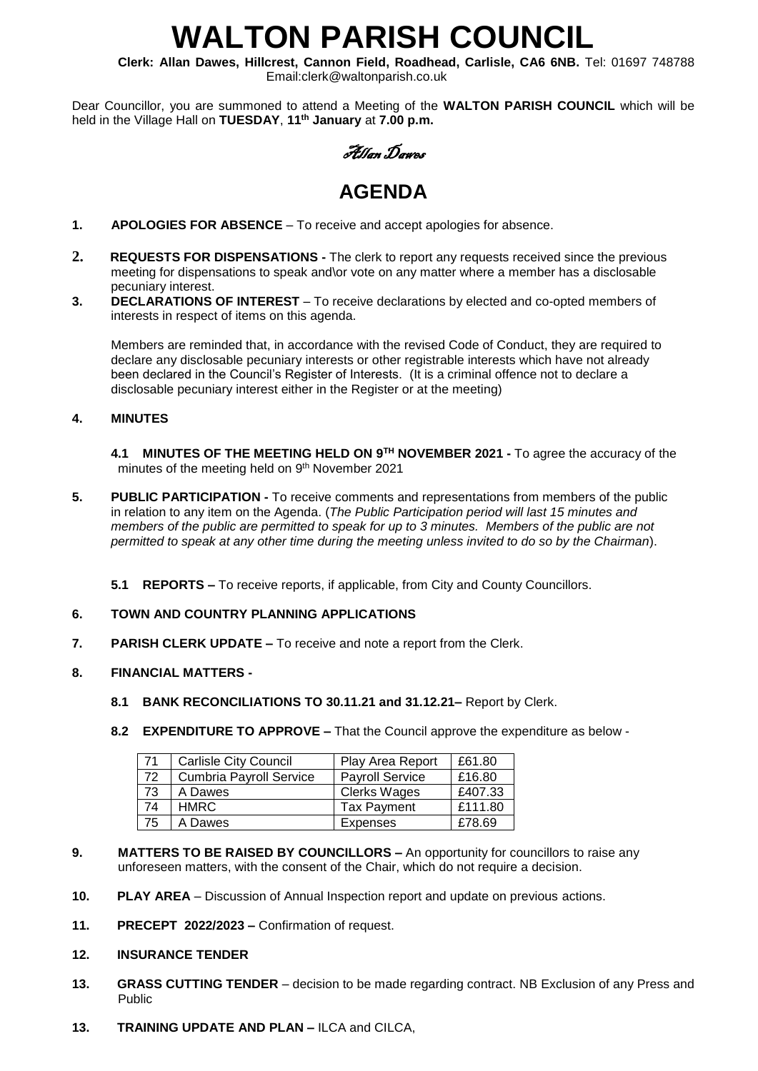# **WALTON PARISH COUNCIL**

**Clerk: Allan Dawes, Hillcrest, Cannon Field, Roadhead, Carlisle, CA6 6NB.** Tel: 01697 748788 Email:clerk@waltonparish.co.uk

Dear Councillor, you are summoned to attend a Meeting of the **WALTON PARISH COUNCIL** which will be held in the Village Hall on **TUESDAY**, **11th January** at **7.00 p.m.**

Allan Dawes

# **AGENDA**

- **1. APOLOGIES FOR ABSENCE** To receive and accept apologies for absence.
- **2. REQUESTS FOR DISPENSATIONS -** The clerk to report any requests received since the previous meeting for dispensations to speak and\or vote on any matter where a member has a disclosable pecuniary interest.<br>3. DECLARATIONS
- **3. DECLARATIONS OF INTEREST** To receive declarations by elected and co-opted members of interests in respect of items on this agenda.

 Members are reminded that, in accordance with the revised Code of Conduct, they are required to declare any disclosable pecuniary interests or other registrable interests which have not already been declared in the Council's Register of Interests. (It is a criminal offence not to declare a disclosable pecuniary interest either in the Register or at the meeting)

# **4. MINUTES**

- **4.1 MINUTES OF THE MEETING HELD ON 9 TH NOVEMBER 2021 -** To agree the accuracy of the minutes of the meeting held on 9<sup>th</sup> November 2021
- **5. PUBLIC PARTICIPATION -** To receive comments and representations from members of the public in relation to any item on the Agenda. (*The Public Participation period will last 15 minutes and members of the public are permitted to speak for up to 3 minutes. Members of the public are not permitted to speak at any other time during the meeting unless invited to do so by the Chairman*).
	- **5.1 REPORTS –** To receive reports, if applicable, from City and County Councillors.

# **6. TOWN AND COUNTRY PLANNING APPLICATIONS**

- **7.** PARISH CLERK UPDATE To receive and note a report from the Clerk.
- **8. FINANCIAL MATTERS -**
	- **8.1 BANK RECONCILIATIONS TO 30.11.21 and 31.12.21–** Report by Clerk.
	- **8.2 EXPENDITURE TO APPROVE –** That the Council approve the expenditure as below -

| 71 | <b>Carlisle City Council</b>   | Play Area Report       | £61.80  |
|----|--------------------------------|------------------------|---------|
| 72 | <b>Cumbria Payroll Service</b> | <b>Payroll Service</b> | £16.80  |
| 73 | A Dawes                        | <b>Clerks Wages</b>    | £407.33 |
| 74 | <b>HMRC</b>                    | <b>Tax Payment</b>     | £111.80 |
| 75 | A Dawes                        | <b>Expenses</b>        | £78.69  |

- **9. MATTERS TO BE RAISED BY COUNCILLORS –** An opportunity for councillors to raise any unforeseen matters, with the consent of the Chair, which do not require a decision.
- **10. PLAY AREA** Discussion of Annual Inspection report and update on previous actions.
- **11. PRECEPT 2022/2023 –** Confirmation of request.

#### **12. INSURANCE TENDER**

- **13. GRASS CUTTING TENDER** decision to be made regarding contract. NB Exclusion of any Press and Public
- **13. TRAINING UPDATE AND PLAN –** ILCA and CILCA,